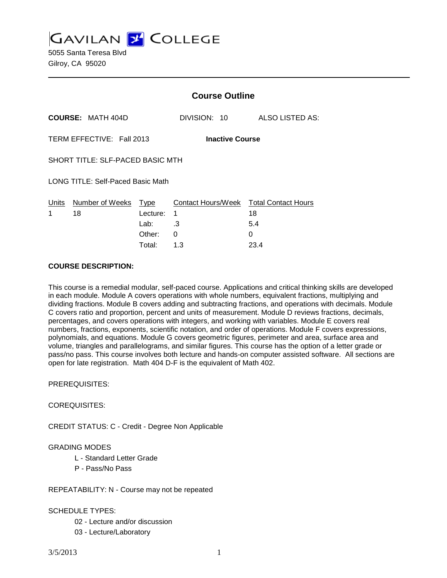**GAVILAN 2 COLLEGE** 

5055 Santa Teresa Blvd Gilroy, CA 95020

|                                          |                                  | <b>Course Outline</b> |                                              |                 |
|------------------------------------------|----------------------------------|-----------------------|----------------------------------------------|-----------------|
|                                          | <b>COURSE: MATH 404D</b>         |                       | DIVISION: 10                                 | ALSO LISTED AS: |
| TERM EFFECTIVE: Fall 2013                |                                  |                       | <b>Inactive Course</b>                       |                 |
| SHORT TITLE: SLF-PACED BASIC MTH         |                                  |                       |                                              |                 |
| <b>LONG TITLE: Self-Paced Basic Math</b> |                                  |                       |                                              |                 |
| 1                                        | Units Number of Weeks Type<br>18 | Lecture:<br>Lab: .3   | Contact Hours/Week Total Contact Hours<br>-1 | 18<br>5.4       |
|                                          |                                  | Other:                | 0                                            | 0               |
|                                          |                                  | Total:                | 1.3                                          | 23.4            |

#### **COURSE DESCRIPTION:**

This course is a remedial modular, self-paced course. Applications and critical thinking skills are developed in each module. Module A covers operations with whole numbers, equivalent fractions, multiplying and dividing fractions. Module B covers adding and subtracting fractions, and operations with decimals. Module C covers ratio and proportion, percent and units of measurement. Module D reviews fractions, decimals, percentages, and covers operations with integers, and working with variables. Module E covers real numbers, fractions, exponents, scientific notation, and order of operations. Module F covers expressions, polynomials, and equations. Module G covers geometric figures, perimeter and area, surface area and volume, triangles and parallelograms, and similar figures. This course has the option of a letter grade or pass/no pass. This course involves both lecture and hands-on computer assisted software. All sections are open for late registration. Math 404 D-F is the equivalent of Math 402.

#### PREREQUISITES:

#### COREQUISITES:

CREDIT STATUS: C - Credit - Degree Non Applicable

#### GRADING MODES

- L Standard Letter Grade
- P Pass/No Pass

#### REPEATABILITY: N - Course may not be repeated

## SCHEDULE TYPES:

- 02 Lecture and/or discussion
- 03 Lecture/Laboratory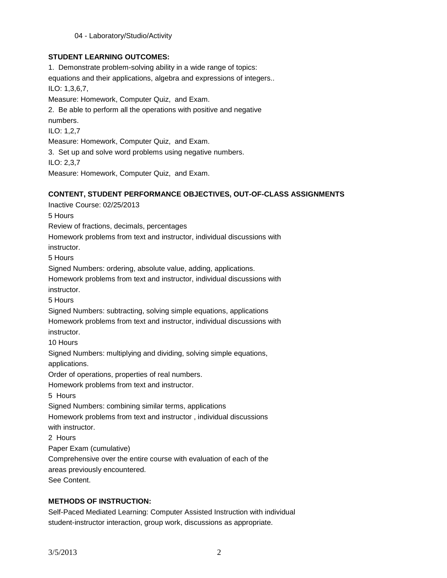04 - Laboratory/Studio/Activity

## **STUDENT LEARNING OUTCOMES:**

1. Demonstrate problem-solving ability in a wide range of topics: equations and their applications, algebra and expressions of integers.. ILO: 1,3,6,7, Measure: Homework, Computer Quiz, and Exam. 2. Be able to perform all the operations with positive and negative numbers. ILO: 1,2,7 Measure: Homework, Computer Quiz, and Exam. 3. Set up and solve word problems using negative numbers. ILO: 2,3,7

Measure: Homework, Computer Quiz, and Exam.

## **CONTENT, STUDENT PERFORMANCE OBJECTIVES, OUT-OF-CLASS ASSIGNMENTS**

Inactive Course: 02/25/2013

5 Hours

Review of fractions, decimals, percentages

Homework problems from text and instructor, individual discussions with

instructor.

5 Hours

Signed Numbers: ordering, absolute value, adding, applications.

Homework problems from text and instructor, individual discussions with instructor.

5 Hours

Signed Numbers: subtracting, solving simple equations, applications

Homework problems from text and instructor, individual discussions with instructor.

10 Hours

Signed Numbers: multiplying and dividing, solving simple equations, applications.

Order of operations, properties of real numbers.

Homework problems from text and instructor.

5 Hours

Signed Numbers: combining similar terms, applications

Homework problems from text and instructor , individual discussions with instructor.

2 Hours

Paper Exam (cumulative)

Comprehensive over the entire course with evaluation of each of the

areas previously encountered.

See Content.

## **METHODS OF INSTRUCTION:**

Self-Paced Mediated Learning: Computer Assisted Instruction with individual student-instructor interaction, group work, discussions as appropriate.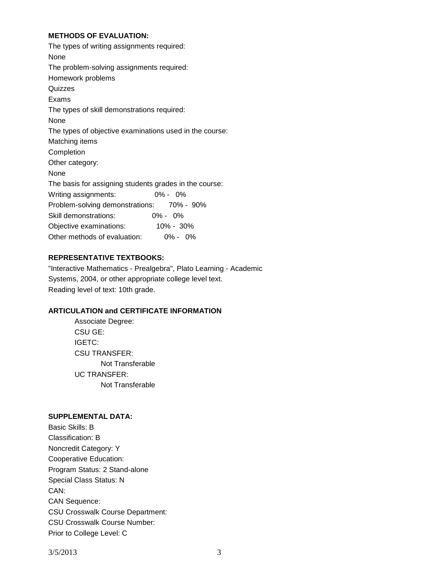## **METHODS OF EVALUATION:**

# **REPRESENTATIVE TEXTBOOKS:**

"Interactive Mathematics - Prealgebra", Plato Learning - Academic Systems, 2004, or other appropriate college level text. Reading level of text: 10th grade.

## **ARTICULATION and CERTIFICATE INFORMATION**

Associate Degree: CSU GE: IGETC: CSU TRANSFER: Not Transferable UC TRANSFER: Not Transferable

### **SUPPLEMENTAL DATA:**

Basic Skills: B Classification: B Noncredit Category: Y Cooperative Education: Program Status: 2 Stand-alone Special Class Status: N CAN: CAN Sequence: CSU Crosswalk Course Department: CSU Crosswalk Course Number: Prior to College Level: C